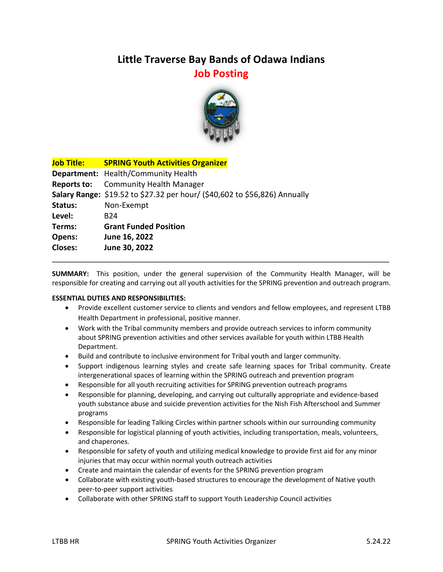## **Little Traverse Bay Bands of Odawa Indians Job Posting**



| <b>Job Title:</b> | <b>SPRING Youth Activities Organizer</b>                                   |
|-------------------|----------------------------------------------------------------------------|
|                   | Department: Health/Community Health                                        |
| Reports to:       | <b>Community Health Manager</b>                                            |
|                   | Salary Range: \$19.52 to \$27.32 per hour/ (\$40,602 to \$56,826) Annually |
| Status:           | Non-Exempt                                                                 |
| Level:            | B <sub>24</sub>                                                            |
| Terms:            | <b>Grant Funded Position</b>                                               |
| Opens:            | June 16, 2022                                                              |
| <b>Closes:</b>    | June 30, 2022                                                              |
|                   |                                                                            |

**SUMMARY:** This position, under the general supervision of the Community Health Manager, will be responsible for creating and carrying out all youth activities for the SPRING prevention and outreach program.

## **ESSENTIAL DUTIES AND RESPONSIBILITIES:**

- Provide excellent customer service to clients and vendors and fellow employees, and represent LTBB Health Department in professional, positive manner.
- Work with the Tribal community members and provide outreach services to inform community about SPRING prevention activities and other services available for youth within LTBB Health Department.
- Build and contribute to inclusive environment for Tribal youth and larger community.
- Support indigenous learning styles and create safe learning spaces for Tribal community. Create intergenerational spaces of learning within the SPRING outreach and prevention program
- Responsible for all youth recruiting activities for SPRING prevention outreach programs
- Responsible for planning, developing, and carrying out culturally appropriate and evidence-based youth substance abuse and suicide prevention activities for the Nish Fish Afterschool and Summer programs
- Responsible for leading Talking Circles within partner schools within our surrounding community
- Responsible for logistical planning of youth activities, including transportation, meals, volunteers, and chaperones.
- Responsible for safety of youth and utilizing medical knowledge to provide first aid for any minor injuries that may occur within normal youth outreach activities
- Create and maintain the calendar of events for the SPRING prevention program
- Collaborate with existing youth-based structures to encourage the development of Native youth peer-to-peer support activities
- Collaborate with other SPRING staff to support Youth Leadership Council activities